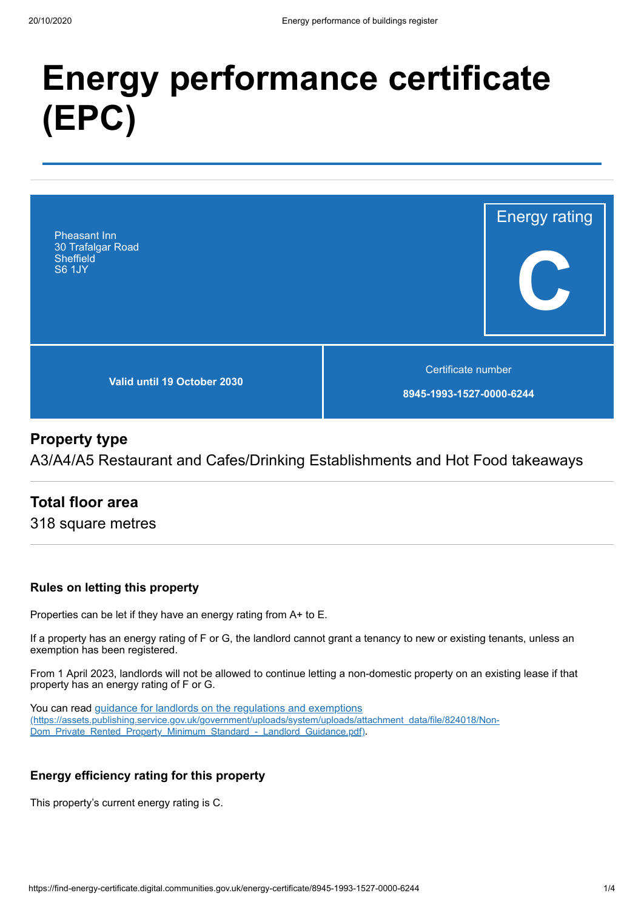# **Energy performance certificate (EPC)**



# **Property type**

A3/A4/A5 Restaurant and Cafes/Drinking Establishments and Hot Food takeaways

# **Total floor area**

318 square metres

## **Rules on letting this property**

Properties can be let if they have an energy rating from A+ to E.

If a property has an energy rating of F or G, the landlord cannot grant a tenancy to new or existing tenants, unless an exemption has been registered.

From 1 April 2023, landlords will not be allowed to continue letting a non-domestic property on an existing lease if that property has an energy rating of F or G.

You can read guidance for landlords on the regulations and exemptions [\(https://assets.publishing.service.gov.uk/government/uploads/system/uploads/attachment\\_data/file/824018/Non-](https://assets.publishing.service.gov.uk/government/uploads/system/uploads/attachment_data/file/824018/Non-Dom_Private_Rented_Property_Minimum_Standard_-_Landlord_Guidance.pdf)Dom\_Private\_Rented\_Property\_Minimum\_Standard\_-\_Landlord\_Guidance.pdf).

## **Energy efficiency rating for this property**

This property's current energy rating is C.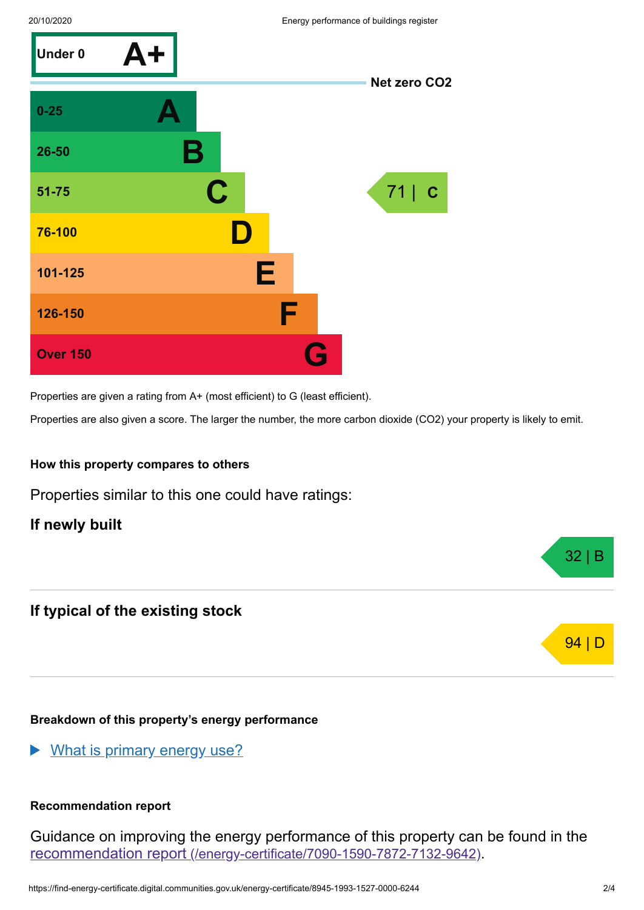

Properties are given a rating from A+ (most efficient) to G (least efficient).

Properties are also given a score. The larger the number, the more carbon dioxide (CO2) your property is likely to emit.

### **How this property compares to others**

Properties similar to this one could have ratings:

**If newly built**

# **If typical of the existing stock**

### **Breakdown of this property's energy performance**

What is primary energy use?

### **Recommendation report**

Guidance on improving the energy performance of this property can be found in the recommendation report [\(/energy-certificate/7090-1590-7872-7132-9642\)](https://find-energy-certificate.digital.communities.gov.uk/energy-certificate/7090-1590-7872-7132-9642).

32 | B

94 | D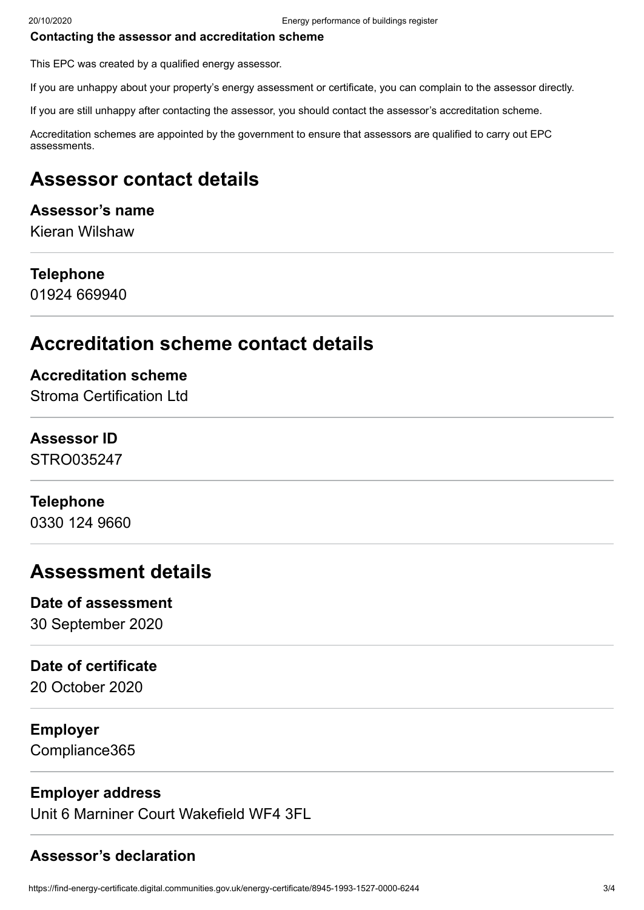#### **Contacting the assessor and accreditation scheme**

This EPC was created by a qualified energy assessor.

If you are unhappy about your property's energy assessment or certificate, you can complain to the assessor directly.

If you are still unhappy after contacting the assessor, you should contact the assessor's accreditation scheme.

Accreditation schemes are appointed by the government to ensure that assessors are qualified to carry out EPC assessments.

# **Assessor contact details**

## **Assessor's name**

Kieran Wilshaw

## **Telephone**

01924 669940

# **Accreditation scheme contact details**

## **Accreditation scheme**

Stroma Certification Ltd

## **Assessor ID**

STRO035247

## **Telephone**

0330 124 9660

# **Assessment details**

# **Date of assessment**

30 September 2020

# **Date of certificate**

20 October 2020

# **Employer**

Compliance365

# **Employer address**

Unit 6 Marniner Court Wakefield WF4 3FL

# **Assessor's declaration**